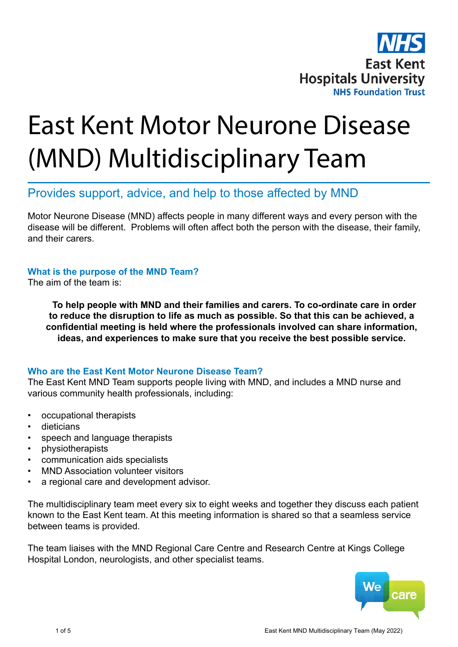

# East Kent Motor Neurone Disease (MND) Multidisciplinary Team

# Provides support, advice, and help to those affected by MND

Motor Neurone Disease (MND) affects people in many different ways and every person with the disease will be different. Problems will often affect both the person with the disease, their family, and their carers.

# **What is the purpose of the MND Team?**

The aim of the team is:

**To help people with MND and their families and carers. To co-ordinate care in order to reduce the disruption to life as much as possible. So that this can be achieved, a confidential meeting is held where the professionals involved can share information, ideas, and experiences to make sure that you receive the best possible service.**

#### **Who are the East Kent Motor Neurone Disease Team?**

The East Kent MND Team supports people living with MND, and includes a MND nurse and various community health professionals, including:

- occupational therapists
- dieticians
- speech and language therapists
- physiotherapists
- communication aids specialists
- MND Association volunteer visitors
- a regional care and development advisor.

The multidisciplinary team meet every six to eight weeks and together they discuss each patient known to the East Kent team. At this meeting information is shared so that a seamless service between teams is provided.

The team liaises with the MND Regional Care Centre and Research Centre at Kings College Hospital London, neurologists, and other specialist teams.

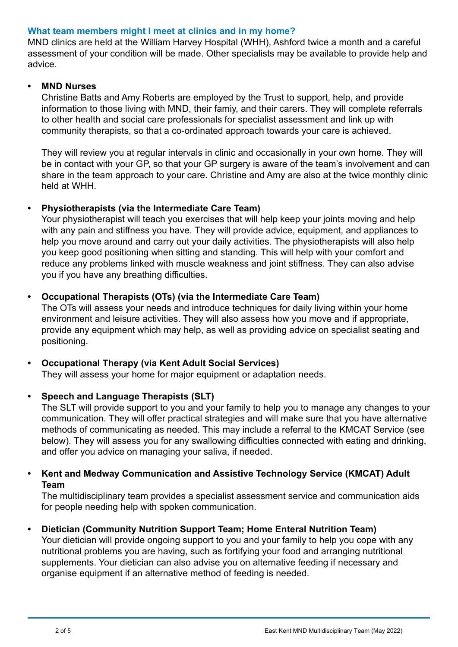#### **What team members might I meet at clinics and in my home?**

MND clinics are held at the William Harvey Hospital (WHH), Ashford twice a month and a careful assessment of your condition will be made. Other specialists may be available to provide help and advice.

#### **• MND Nurses**

Christine Batts and Amy Roberts are employed by the Trust to support, help, and provide information to those living with MND, their famiy, and their carers. They will complete referrals to other health and social care professionals for specialist assessment and link up with community therapists, so that a co-ordinated approach towards your care is achieved.

They will review you at regular intervals in clinic and occasionally in your own home. They will be in contact with your GP, so that your GP surgery is aware of the team's involvement and can share in the team approach to your care. Christine and Amy are also at the twice monthly clinic held at WHH.

# **• Physiotherapists (via the Intermediate Care Team)**

Your physiotherapist will teach you exercises that will help keep your joints moving and help with any pain and stiffness you have. They will provide advice, equipment, and appliances to help you move around and carry out your daily activities. The physiotherapists will also help you keep good positioning when sitting and standing. This will help with your comfort and reduce any problems linked with muscle weakness and joint stiffness. They can also advise you if you have any breathing difficulties.

#### **• Occupational Therapists (OTs) (via the Intermediate Care Team)**

The OTs will assess your needs and introduce techniques for daily living within your home environment and leisure activities. They will also assess how you move and if appropriate, provide any equipment which may help, as well as providing advice on specialist seating and positioning.

# **• Occupational Therapy (via Kent Adult Social Services)**

They will assess your home for major equipment or adaptation needs.

#### **• Speech and Language Therapists (SLT)**

The SLT will provide support to you and your family to help you to manage any changes to your communication. They will offer practical strategies and will make sure that you have alternative methods of communicating as needed. This may include a referral to the KMCAT Service (see below). They will assess you for any swallowing difficulties connected with eating and drinking, and offer you advice on managing your saliva, if needed.

# **• Kent and Medway Communication and Assistive Technology Service (KMCAT) Adult Team**

The multidisciplinary team provides a specialist assessment service and communication aids for people needing help with spoken communication.

# **• Dietician (Community Nutrition Support Team; Home Enteral Nutrition Team)**

Your dietician will provide ongoing support to you and your family to help you cope with any nutritional problems you are having, such as fortifying your food and arranging nutritional supplements. Your dietician can also advise you on alternative feeding if necessary and organise equipment if an alternative method of feeding is needed.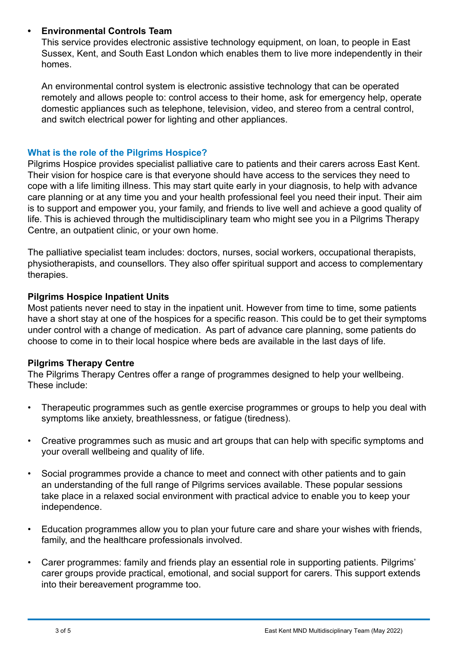# **• Environmental Controls Team**

This service provides electronic assistive technology equipment, on loan, to people in East Sussex, Kent, and South East London which enables them to live more independently in their homes.

An environmental control system is electronic assistive technology that can be operated remotely and allows people to: control access to their home, ask for emergency help, operate domestic appliances such as telephone, television, video, and stereo from a central control, and switch electrical power for lighting and other appliances.

#### **What is the role of the Pilgrims Hospice?**

Pilgrims Hospice provides specialist palliative care to patients and their carers across East Kent. Their vision for hospice care is that everyone should have access to the services they need to cope with a life limiting illness. This may start quite early in your diagnosis, to help with advance care planning or at any time you and your health professional feel you need their input. Their aim is to support and empower you, your family, and friends to live well and achieve a good quality of life. This is achieved through the multidisciplinary team who might see you in a Pilgrims Therapy Centre, an outpatient clinic, or your own home.

The palliative specialist team includes: doctors, nurses, social workers, occupational therapists, physiotherapists, and counsellors. They also offer spiritual support and access to complementary therapies.

#### **Pilgrims Hospice Inpatient Units**

Most patients never need to stay in the inpatient unit. However from time to time, some patients have a short stay at one of the hospices for a specific reason. This could be to get their symptoms under control with a change of medication. As part of advance care planning, some patients do choose to come in to their local hospice where beds are available in the last days of life.

# **Pilgrims Therapy Centre**

The Pilgrims Therapy Centres offer a range of programmes designed to help your wellbeing. These include:

- Therapeutic programmes such as gentle exercise programmes or groups to help you deal with symptoms like anxiety, breathlessness, or fatique (tiredness).
- Creative programmes such as music and art groups that can help with specific symptoms and your overall wellbeing and quality of life.
- Social programmes provide a chance to meet and connect with other patients and to gain an understanding of the full range of Pilgrims services available. These popular sessions take place in a relaxed social environment with practical advice to enable you to keep your independence.
- Education programmes allow you to plan your future care and share your wishes with friends, family, and the healthcare professionals involved.
- Carer programmes: family and friends play an essential role in supporting patients. Pilgrims' carer groups provide practical, emotional, and social support for carers. This support extends into their bereavement programme too.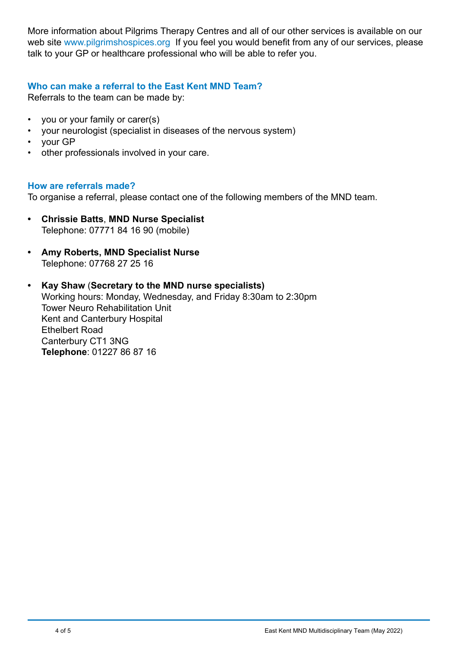More information about Pilgrims Therapy Centres and all of our other services is available on our web sit[e www.pilgrimshospices.org](http:// www.pilgrimshospices.org) If you feel you would benefit from any of our services, please talk to your GP or healthcare professional who will be able to refer you.

#### **Who can make a referral to the East Kent MND Team?**

Referrals to the team can be made by:

- you or your family or carer(s)
- your neurologist (specialist in diseases of the nervous system)
- your GP
- other professionals involved in your care.

#### **How are referrals made?**

To organise a referral, please contact one of the following members of the MND team.

- **• Chrissie Batts**, **MND Nurse Specialist**  Telephone: 07771 84 16 90 (mobile)
- **• Amy Roberts, MND Specialist Nurse** Telephone: 07768 27 25 16
- **• Kay Shaw** (**Secretary to the MND nurse specialists)** Working hours: Monday, Wednesday, and Friday 8:30am to 2:30pm Tower Neuro Rehabilitation Unit Kent and Canterbury Hospital Ethelbert Road Canterbury CT1 3NG **Telephone**: 01227 86 87 16